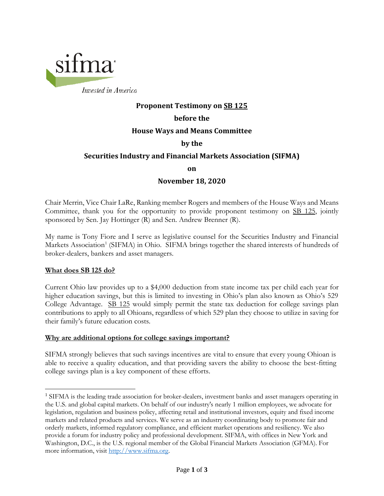

## **Proponent Testimony on SB 125**

# **before the**

### **House Ways and Means Committee**

### **by the**

# **Securities Industry and Financial Markets Association (SIFMA)**

**on** 

#### **November 18, 2020**

Chair Merrin, Vice Chair LaRe, Ranking member Rogers and members of the House Ways and Means Committee, thank you for the opportunity to provide proponent testimony on SB 125, jointly sponsored by Sen. Jay Hottinger (R) and Sen. Andrew Brenner (R).

My name is Tony Fiore and I serve as legislative counsel for the Securities Industry and Financial Markets Association<sup>1</sup> (SIFMA) in Ohio. SIFMA brings together the shared interests of hundreds of broker-dealers, bankers and asset managers.

#### **What does SB 125 do?**

l

Current Ohio law provides up to a \$4,000 deduction from state income tax per child each year for higher education savings, but this is limited to investing in Ohio's plan also known as Ohio's 529 College Advantage. SB 125 would simply permit the state tax deduction for college savings plan contributions to apply to all Ohioans, regardless of which 529 plan they choose to utilize in saving for their family's future education costs.

#### **Why are additional options for college savings important?**

SIFMA strongly believes that such savings incentives are vital to ensure that every young Ohioan is able to receive a quality education, and that providing savers the ability to choose the best-fitting college savings plan is a key component of these efforts.

<sup>&</sup>lt;sup>1</sup> SIFMA is the leading trade association for broker-dealers, investment banks and asset managers operating in the U.S. and global capital markets. On behalf of our industry's nearly 1 million employees, we advocate for legislation, regulation and business policy, affecting retail and institutional investors, equity and fixed income markets and related products and services. We serve as an industry coordinating body to promote fair and orderly markets, informed regulatory compliance, and efficient market operations and resiliency. We also provide a forum for industry policy and professional development. SIFMA, with offices in New York and Washington, D.C., is the U.S. regional member of the Global Financial Markets Association (GFMA). For more information, visit [http://www.sifma.org.](http://www.sifma.org/)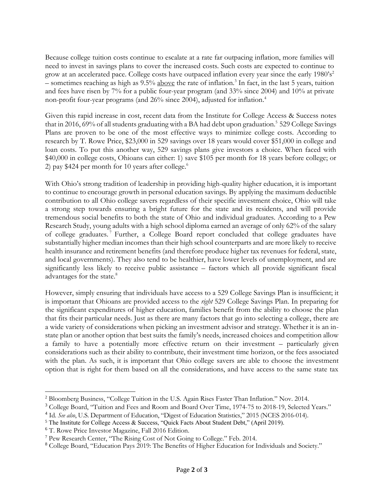Because college tuition costs continue to escalate at a rate far outpacing inflation, more families will need to invest in savings plans to cover the increased costs. Such costs are expected to continue to grow at an accelerated pace. College costs have outpaced inflation every year since the early 1980's<sup>2</sup> – sometimes reaching as high as 9.5% above the rate of inflation.<sup>3</sup> In fact, in the last 5 years, tuition and fees have risen by 7% for a public four-year program (and 33% since 2004) and 10% at private non-profit four-year programs (and 26% since 2004), adjusted for inflation. 4

Given this rapid increase in cost, recent data from the Institute for College Access & Success notes that in 2016, 69% of all students graduating with a BA had debt upon graduation. 5 529 College Savings Plans are proven to be one of the most effective ways to minimize college costs. According to research by T. Rowe Price, \$23,000 in 529 savings over 18 years would cover \$51,000 in college and loan costs. To put this another way, 529 savings plans give investors a choice. When faced with \$40,000 in college costs, Ohioans can either: 1) save \$105 per month for 18 years before college; or 2) pay \$424 per month for 10 years after college. $^6$ 

With Ohio's strong tradition of leadership in providing high-quality higher education, it is important to continue to encourage growth in personal education savings. By applying the maximum deductible contribution to all Ohio college savers regardless of their specific investment choice, Ohio will take a strong step towards ensuring a bright future for the state and its residents, and will provide tremendous social benefits to both the state of Ohio and individual graduates. According to a Pew Research Study, young adults with a high school diploma earned an average of only 62% of the salary of college graduates. <sup>7</sup> Further, a College Board report concluded that college graduates have substantially higher median incomes than their high school counterparts and are more likely to receive health insurance and retirement benefits (and therefore produce higher tax revenues for federal, state, and local governments). They also tend to be healthier, have lower levels of unemployment, and are significantly less likely to receive public assistance – factors which all provide significant fiscal advantages for the state.<sup>8</sup>

However, simply ensuring that individuals have access to a 529 College Savings Plan is insufficient; it is important that Ohioans are provided access to the *right* 529 College Savings Plan. In preparing for the significant expenditures of higher education, families benefit from the ability to choose the plan that fits their particular needs. Just as there are many factors that go into selecting a college, there are a wide variety of considerations when picking an investment advisor and strategy. Whether it is an instate plan or another option that best suits the family's needs, increased choices and competition allow a family to have a potentially more effective return on their investment – particularly given considerations such as their ability to contribute, their investment time horizon, or the fees associated with the plan. As such, it is important that Ohio college savers are able to choose the investment option that is right for them based on all the considerations, and have access to the same state tax

l

<sup>2</sup> Bloomberg Business, "College Tuition in the U.S. Again Rises Faster Than Inflation." Nov. 2014.

<sup>3</sup> College Board, "Tuition and Fees and Room and Board Over Time, 1974-75 to 2018-19, Selected Years."

<sup>4</sup> Id. *See also*, U.S. Department of Education, "Digest of Education Statistics," 2015 (NCES 2016-014).

<sup>5</sup> The Institute for College Access & Success, "Quick Facts About Student Debt," (April 2019).

<sup>6</sup> T. Rowe Price Investor Magazine, Fall 2016 Edition.

<sup>7</sup> Pew Research Center, "The Rising Cost of Not Going to College." Feb. 2014.

<sup>8</sup> College Board, "Education Pays 2019: The Benefits of Higher Education for Individuals and Society."